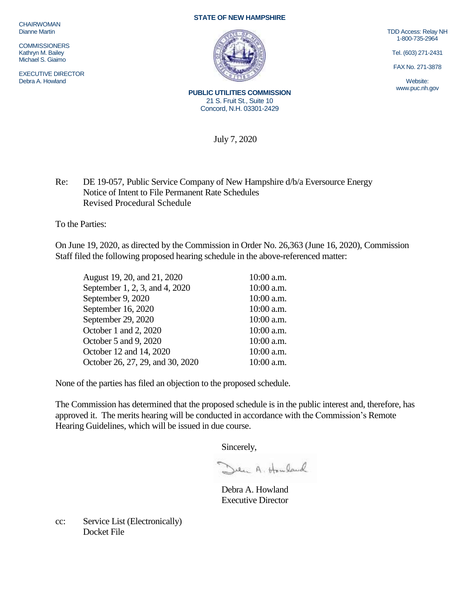**CHAIRWOMAN** Dianne Martin

**COMMISSIONERS** Kathryn M. Bailey Michael S. Giaimo

EXECUTIVE DIRECTOR Debra A. Howland

## **STATE OF NEW HAMPSHIRE**



**PUBLIC UTILITIES COMMISSION** 21 S. Fruit St., Suite 10 Concord, N.H. 03301-2429

TDD Access: Relay NH 1-800-735-2964

Tel. (603) 271-2431

FAX No. 271-3878

Website: www.puc.nh.gov

July 7, 2020

Re: DE 19-057, Public Service Company of New Hampshire d/b/a Eversource Energy Notice of Intent to File Permanent Rate Schedules Revised Procedural Schedule

To the Parties:

On June 19, 2020, as directed by the Commission in Order No. 26,363 (June 16, 2020), Commission Staff filed the following proposed hearing schedule in the above-referenced matter:

| August 19, 20, and 21, 2020      | 10:00 a.m. |
|----------------------------------|------------|
| September 1, 2, 3, and 4, 2020   | 10:00 a.m. |
| September 9, 2020                | 10:00 a.m. |
| September 16, 2020               | 10:00 a.m. |
| September 29, 2020               | 10:00 a.m. |
| October 1 and 2, 2020            | 10:00 a.m. |
| October 5 and 9, 2020            | 10:00 a.m. |
| October 12 and 14, 2020          | 10:00 a.m. |
| October 26, 27, 29, and 30, 2020 | 10:00 a.m. |

None of the parties has filed an objection to the proposed schedule.

The Commission has determined that the proposed schedule is in the public interest and, therefore, has approved it. The merits hearing will be conducted in accordance with the Commission's Remote Hearing Guidelines, which will be issued in due course.

Sincerely,

Den A. Houland

Debra A. Howland Executive Director

cc: Service List (Electronically) Docket File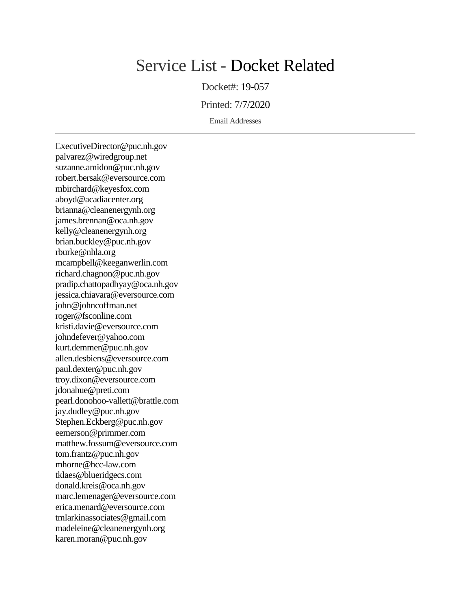## Service List - Docket Related

Docket#: 19-057

Printed: 7/7/2020

Email Addresses

ExecutiveDirector@puc.nh.gov palvarez@wiredgroup.net suzanne.amidon@puc.nh.gov robert.bersak@eversource.com mbirchard@keyesfox.com aboyd@acadiacenter.org brianna@cleanenergynh.org james.brennan@oca.nh.gov kelly@cleanenergynh.org brian.buckley@puc.nh.gov rburke@nhla.org mcampbell@keeganwerlin.com richard.chagnon@puc.nh.gov pradip.chattopadhyay@oca.nh.gov jessica.chiavara@eversource.com john@johncoffman.net roger@fsconline.com kristi.davie@eversource.com johndefever@yahoo.com kurt.demmer@puc.nh.gov allen.desbiens@eversource.com paul.dexter@puc.nh.gov troy.dixon@eversource.com jdonahue@preti.com pearl.donohoo-vallett@brattle.com jay.dudley@puc.nh.gov Stephen.Eckberg@puc.nh.gov eemerson@primmer.com matthew.fossum@eversource.com tom.frantz@puc.nh.gov mhorne@hcc-law.com tklaes@blueridgecs.com donald.kreis@oca.nh.gov marc.lemenager@eversource.com erica.menard@eversource.com tmlarkinassociates@gmail.com madeleine@cleanenergynh.org karen.moran@puc.nh.gov